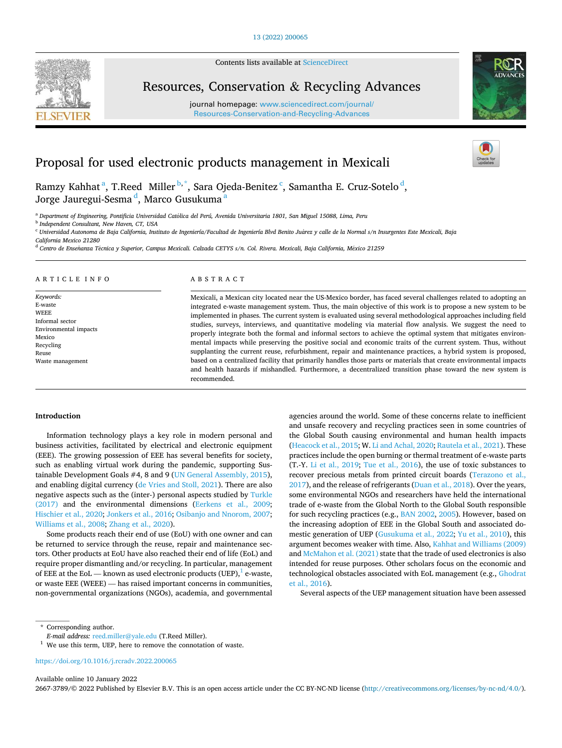

Contents lists available at [ScienceDirect](www.sciencedirect.com/science/journal/26673789)

Resources, Conservation & Recycling Advances

journal homepage: [www.sciencedirect.com/journal/](https://www.sciencedirect.com/journal/Resources-Conservation-and-Recycling-Advances) [Resources-Conservation-and-Recycling-Advances](https://www.sciencedirect.com/journal/Resources-Conservation-and-Recycling-Advances) 



# Proposal for used electronic products management in Mexicali

Ramzy Kahhat<sup>a</sup>, T.Reed Miller<sup>b,\*</sup>, Sara Ojeda-Benitez<sup>c</sup>, Samantha E. Cruz-Sotelo<sup>d</sup>, Jorge Jauregui-Sesma <sup>d</sup>, Marco Gusukuma <sup>a</sup>

<sup>a</sup> Department of Engineering, Pontificia Universidad Católica del Perú, Avenida Universitaria 1801, San Miguel 15088, Lima, Peru

<sup>b</sup> *Independent Consultant, New Haven, CT, USA* 

<sup>c</sup> Universidad Autonoma de Baja California, Instituto de Ingeniería/Facultad de Ingeniería Blvd Benito Juárez y calle de la Normal s/n Insurgentes Este Mexicali, Baja

*California Mexico 21280* 

<sup>d</sup> Centro de Enseñanza Técnica y Superior, Campus Mexicali. Calzada CETYS s/n. Col. Rivera. Mexicali, Baja California, México 21259

#### ARTICLE INFO

*Keywords:*  E-waste **WEEE** Informal sector Environmental impacts Mexico Recycling Reuse Waste management

## ABSTRACT

Mexicali, a Mexican city located near the US-Mexico border, has faced several challenges related to adopting an integrated e-waste management system. Thus, the main objective of this work is to propose a new system to be implemented in phases. The current system is evaluated using several methodological approaches including field studies, surveys, interviews, and quantitative modeling via material flow analysis. We suggest the need to properly integrate both the formal and informal sectors to achieve the optimal system that mitigates environmental impacts while preserving the positive social and economic traits of the current system. Thus, without supplanting the current reuse, refurbishment, repair and maintenance practices, a hybrid system is proposed, based on a centralized facility that primarily handles those parts or materials that create environmental impacts and health hazards if mishandled. Furthermore, a decentralized transition phase toward the new system is recommended.

#### **Introduction**

Information technology plays a key role in modern personal and business activities, facilitated by electrical and electronic equipment (EEE). The growing possession of EEE has several benefits for society, such as enabling virtual work during the pandemic, supporting Sustainable Development Goals #4, 8 and 9 ([UN General Assembly, 2015](#page-12-0)), and enabling digital currency ([de Vries and Stoll, 2021](#page-11-0)). There are also negative aspects such as the (inter-) personal aspects studied by [Turkle](#page-12-0)  [\(2017\)](#page-12-0) and the environmental dimensions [\(Eerkens et al., 2009](#page-11-0); [Hischier et al., 2020; Jonkers et al., 2016](#page-11-0); [Osibanjo and Nnorom, 2007](#page-11-0); [Williams et al., 2008](#page-12-0); [Zhang et al., 2020](#page-12-0)).

Some products reach their end of use (EoU) with one owner and can be returned to service through the reuse, repair and maintenance sectors. Other products at EoU have also reached their end of life (EoL) and require proper dismantling and/or recycling. In particular, management of EEE at the EoL — known as used electronic products (UEP), $\frac{1}{1}$  e-waste, or waste EEE (WEEE) — has raised important concerns in communities, non-governmental organizations (NGOs), academia, and governmental agencies around the world. Some of these concerns relate to inefficient and unsafe recovery and recycling practices seen in some countries of the Global South causing environmental and human health impacts ([Heacock et al., 2015;](#page-11-0) W. [Li and Achal, 2020; Rautela et al., 2021](#page-11-0)). These practices include the open burning or thermal treatment of e-waste parts (T.-Y. [Li et al., 2019](#page-11-0); [Tue et al., 2016](#page-11-0)), the use of toxic substances to recover precious metals from printed circuit boards ([Terazono et al.,](#page-11-0)  [2017\)](#page-11-0), and the release of refrigerants [\(Duan et al., 2018](#page-11-0)). Over the years, some environmental NGOs and researchers have held the international trade of e-waste from the Global North to the Global South responsible for such recycling practices (e.g., [BAN 2002, 2005](#page-10-0)). However, based on the increasing adoption of EEE in the Global South and associated domestic generation of UEP [\(Gusukuma et al., 2022;](#page-11-0) [Yu et al., 2010](#page-12-0)), this argument becomes weaker with time. Also, [Kahhat and Williams \(2009\)](#page-11-0)  and [McMahon et al. \(2021\)](#page-11-0) state that the trade of used electronics is also intended for reuse purposes. Other scholars focus on the economic and technological obstacles associated with EoL management (e.g., [Ghodrat](#page-11-0)  [et al., 2016\)](#page-11-0).

Several aspects of the UEP management situation have been assessed

Available online 10 January 2022

2667-3789/© 2022 Published by Elsevier B.V. This is an open access article under the CC BY-NC-ND license [\(http://creativecommons.org/licenses/by-nc-nd/4.0/\)](http://creativecommons.org/licenses/by-nc-nd/4.0/).

<sup>\*</sup> Corresponding author.<br> *E-mail address:* reed.miller@yale.edu (T.Reed Miller).

<sup>&</sup>lt;sup>1</sup> We use this term, UEP, here to remove the connotation of waste.

<https://doi.org/10.1016/j.rcradv.2022.200065>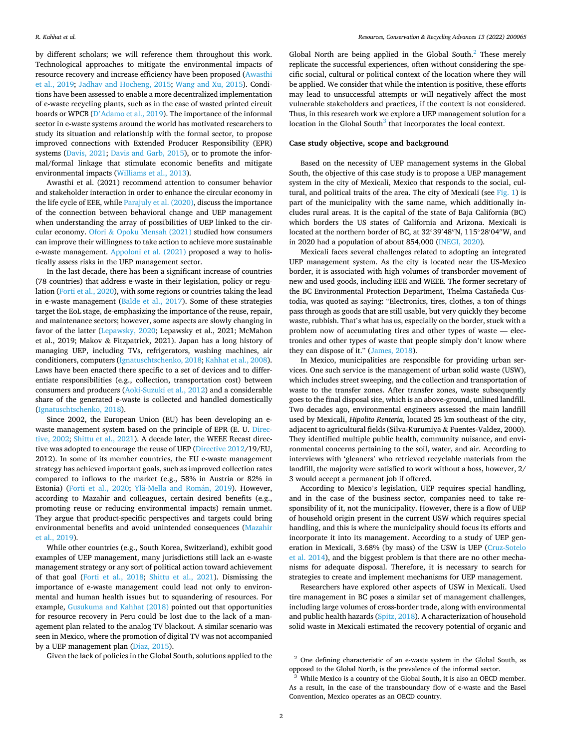by different scholars; we will reference them throughout this work. Technological approaches to mitigate the environmental impacts of resource recovery and increase efficiency have been proposed [\(Awasthi](#page-10-0)  [et al., 2019;](#page-10-0) [Jadhav and Hocheng, 2015](#page-11-0); [Wang and Xu, 2015](#page-12-0)). Conditions have been assessed to enable a more decentralized implementation of e-waste recycling plants, such as in the case of wasted printed circuit boards or WPCB (D'[Adamo et al., 2019\)](#page-11-0). The importance of the informal sector in e-waste systems around the world has motivated researchers to study its situation and relationship with the formal sector, to propose improved connections with Extended Producer Responsibility (EPR) systems [\(Davis, 2021;](#page-11-0) [Davis and Garb, 2015](#page-11-0)), or to promote the informal/formal linkage that stimulate economic benefits and mitigate environmental impacts [\(Williams et al., 2013\)](#page-12-0).

Awasthi et al. (2021) recommend attention to consumer behavior and stakeholder interaction in order to enhance the circular economy in the life cycle of EEE, while [Parajuly et al. \(2020\)](#page-11-0), discuss the importance of the connection between behavioral change and UEP management when understanding the array of possibilities of UEP linked to the circular economy. Ofori & [Opoku Mensah \(2021\)](#page-11-0) studied how consumers can improve their willingness to take action to achieve more sustainable e-waste management. [Appoloni et al. \(2021\)](#page-10-0) proposed a way to holistically assess risks in the UEP management sector.

In the last decade, there has been a significant increase of countries (78 countries) that address e-waste in their legislation, policy or regulation ([Forti et al., 2020\)](#page-11-0), with some regions or countries taking the lead in e-waste management ([Balde et al., 2017](#page-10-0)). Some of these strategies target the EoL stage, de-emphasizing the importance of the reuse, repair, and maintenance sectors; however, some aspects are slowly changing in favor of the latter [\(Lepawsky, 2020;](#page-11-0) Lepawsky et al., 2021; McMahon et al., 2019; Makov & Fitzpatrick, 2021). Japan has a long history of managing UEP, including TVs, refrigerators, washing machines, air conditioners, computers ([Ignatuschtschenko, 2018; Kahhat et al., 2008](#page-11-0)). Laws have been enacted there specific to a set of devices and to differentiate responsibilities (e.g., collection, transportation cost) between consumers and producers ([Aoki-Suzuki et al., 2012](#page-10-0)) and a considerable share of the generated e-waste is collected and handled domestically ([Ignatuschtschenko, 2018](#page-11-0)).

Since 2002, the European Union (EU) has been developing an ewaste management system based on the principle of EPR (E. U. [Direc](#page-11-0)[tive, 2002; Shittu et al., 2021](#page-11-0)). A decade later, the WEEE Recast directive was adopted to encourage the reuse of UEP ([Directive 2012](#page-11-0)/19/EU, 2012). In some of its member countries, the EU e-waste management strategy has achieved important goals, such as improved collection rates compared to inflows to the market (e.g., 58% in Austria or 82% in Estonia) [\(Forti et al., 2020;](#page-11-0) Ylä-Mella and Román, 2019). However, according to Mazahir and colleagues, certain desired benefits (e.g., promoting reuse or reducing environmental impacts) remain unmet. They argue that product-specific perspectives and targets could bring environmental benefits and avoid unintended consequences ([Mazahir](#page-11-0)  [et al., 2019\)](#page-11-0).

While other countries (e.g., South Korea, Switzerland), exhibit good examples of UEP management, many jurisdictions still lack an e-waste management strategy or any sort of political action toward achievement of that goal [\(Forti et al., 2018](#page-11-0); [Shittu et al., 2021\)](#page-11-0). Dismissing the importance of e-waste management could lead not only to environmental and human health issues but to squandering of resources. For example, [Gusukuma and Kahhat \(2018\)](#page-11-0) pointed out that opportunities for resource recovery in Peru could be lost due to the lack of a management plan related to the analog TV blackout. A similar scenario was seen in Mexico, where the promotion of digital TV was not accompanied by a UEP management plan ([Diaz, 2015](#page-11-0)).

Given the lack of policies in the Global South, solutions applied to the

Global North are being applied in the Global South. $^2$  These merely replicate the successful experiences, often without considering the specific social, cultural or political context of the location where they will be applied. We consider that while the intention is positive, these efforts may lead to unsuccessful attempts or will negatively affect the most vulnerable stakeholders and practices, if the context is not considered. Thus, in this research work we explore a UEP management solution for a location in the Global South $3$  that incorporates the local context.

#### **Case study objective, scope and background**

Based on the necessity of UEP management systems in the Global South, the objective of this case study is to propose a UEP management system in the city of Mexicali, Mexico that responds to the social, cultural, and political traits of the area. The city of Mexicali (see [Fig. 1\)](#page-2-0) is part of the municipality with the same name, which additionally includes rural areas. It is the capital of the state of Baja California (BC) which borders the US states of California and Arizona. Mexicali is located at the northern border of BC, at 32◦39′ 48′′N, 115◦28′ 04′′W, and in 2020 had a population of about 854,000 [\(INEGI, 2020\)](#page-11-0).

Mexicali faces several challenges related to adopting an integrated UEP management system. As the city is located near the US-Mexico border, it is associated with high volumes of transborder movement of new and used goods, including EEE and WEEE. The former secretary of the BC Environmental Protection Department, Thelma Castañeda Custodia, was quoted as saying: "Electronics, tires, clothes, a ton of things pass through as goods that are still usable, but very quickly they become waste, rubbish. That's what has us, especially on the border, stuck with a problem now of accumulating tires and other types of waste — electronics and other types of waste that people simply don't know where they can dispose of it." [\(James, 2018](#page-11-0)).

In Mexico, municipalities are responsible for providing urban services. One such service is the management of urban solid waste (USW), which includes street sweeping, and the collection and transportation of waste to the transfer zones. After transfer zones, waste subsequently goes to the final disposal site, which is an above-ground, unlined landfill. Two decades ago, environmental engineers assessed the main landfill used by Mexicali, *Hipolito Renteria*, located 25 km southeast of the city, adjacent to agricultural fields (Silva-Kurumiya & Fuentes-Valdez, 2000). They identified multiple public health, community nuisance, and environmental concerns pertaining to the soil, water, and air. According to interviews with 'gleaners' who retrieved recyclable materials from the landfill, the majority were satisfied to work without a boss, however, 2/ 3 would accept a permanent job if offered.

According to Mexico's legislation, UEP requires special handling, and in the case of the business sector, companies need to take responsibility of it, not the municipality. However, there is a flow of UEP of household origin present in the current USW which requires special handling, and this is where the municipality should focus its efforts and incorporate it into its management. According to a study of UEP generation in Mexicali, 3.68% (by mass) of the USW is UEP ([Cruz-Sotelo](#page-11-0)  [et al. 2014\)](#page-11-0), and the biggest problem is that there are no other mechanisms for adequate disposal. Therefore, it is necessary to search for strategies to create and implement mechanisms for UEP management.

Researchers have explored other aspects of USW in Mexicali. Used tire management in BC poses a similar set of management challenges, including large volumes of cross-border trade, along with environmental and public health hazards ([Spitz, 2018\)](#page-11-0). A characterization of household solid waste in Mexicali estimated the recovery potential of organic and

<sup>&</sup>lt;sup>2</sup> One defining characteristic of an e-waste system in the Global South, as opposed to the Global North, is the prevalence of the informal sector. 3 While Mexico is a country of the Global South, it is also an OECD member.

As a result, in the case of the transboundary flow of e-waste and the Basel Convention, Mexico operates as an OECD country.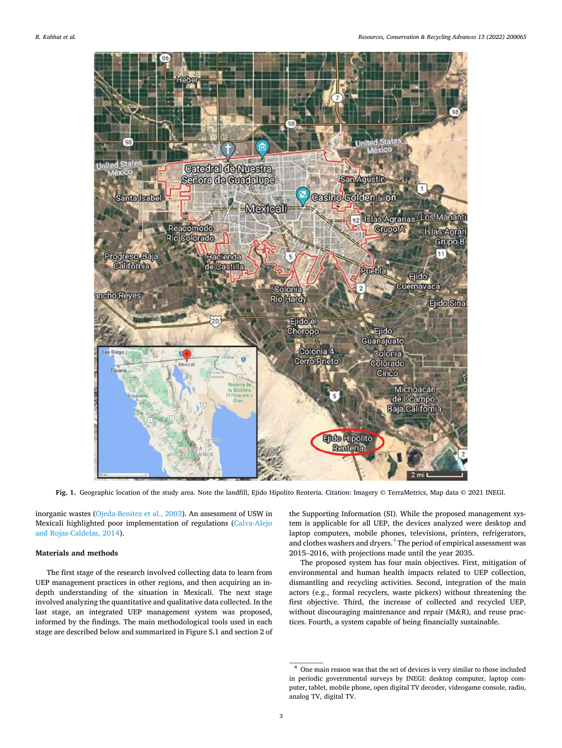<span id="page-2-0"></span>

**Fig. 1.** Geographic location of the study area. Note the landfill, Ejido Hipolito Renteria. Citation: Imagery © TerraMetrics, Map data © 2021 INEGI.

inorganic wastes ([Ojeda-Benitez et al., 2003\)](#page-11-0). An assessment of USW in Mexicali highlighted poor implementation of regulations [\(Calva-Alejo](#page-10-0)  [and Rojas-Caldelas, 2014\)](#page-10-0).

## **Materials and methods**

The first stage of the research involved collecting data to learn from UEP management practices in other regions, and then acquiring an indepth understanding of the situation in Mexicali. The next stage involved analyzing the quantitative and qualitative data collected. In the last stage, an integrated UEP management system was proposed, informed by the findings. The main methodological tools used in each stage are described below and summarized in Figure S.1 and section 2 of

the Supporting Information (SI). While the proposed management system is applicable for all UEP, the devices analyzed were desktop and laptop computers, mobile phones, televisions, printers, refrigerators, and clothes washers and dryers.<sup>4</sup> The period of empirical assessment was 2015–2016, with projections made until the year 2035.

The proposed system has four main objectives. First, mitigation of environmental and human health impacts related to UEP collection, dismantling and recycling activities. Second, integration of the main actors (e.g., formal recyclers, waste pickers) without threatening the first objective. Third, the increase of collected and recycled UEP, without discouraging maintenance and repair (M&R), and reuse practices. Fourth, a system capable of being financially sustainable.

<sup>4</sup> One main reason was that the set of devices is very similar to those included in periodic governmental surveys by INEGI: desktop computer, laptop computer, tablet, mobile phone, open digital TV decoder, videogame console, radio, analog TV, digital TV.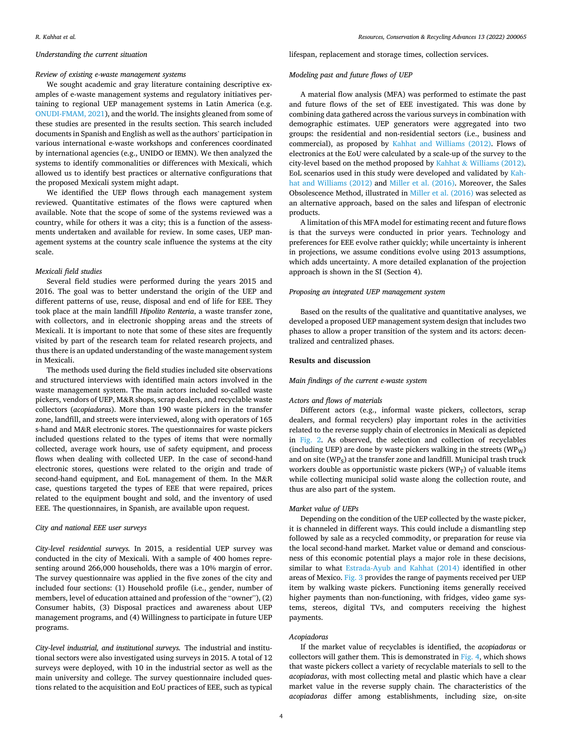## *Understanding the current situation*

#### *Review of existing e-waste management systems*

We sought academic and gray literature containing descriptive examples of e-waste management systems and regulatory initiatives pertaining to regional UEP management systems in Latin America (e.g. [ONUDI-FMAM, 2021](#page-11-0)), and the world. The insights gleaned from some of these studies are presented in the results section. This search included documents in Spanish and English as well as the authors' participation in various international e-waste workshops and conferences coordinated by international agencies (e.g., UNIDO or IEMN). We then analyzed the systems to identify commonalities or differences with Mexicali, which allowed us to identify best practices or alternative configurations that the proposed Mexicali system might adapt.

We identified the UEP flows through each management system reviewed. Quantitative estimates of the flows were captured when available. Note that the scope of some of the systems reviewed was a country, while for others it was a city; this is a function of the assessments undertaken and available for review. In some cases, UEP management systems at the country scale influence the systems at the city scale.

## *Mexicali field studies*

Several field studies were performed during the years 2015 and 2016. The goal was to better understand the origin of the UEP and different patterns of use, reuse, disposal and end of life for EEE. They took place at the main landfill *Hipolito Renteria*, a waste transfer zone, with collectors, and in electronic shopping areas and the streets of Mexicali. It is important to note that some of these sites are frequently visited by part of the research team for related research projects, and thus there is an updated understanding of the waste management system in Mexicali.

The methods used during the field studies included site observations and structured interviews with identified main actors involved in the waste management system. The main actors included so-called waste pickers, vendors of UEP, M&R shops, scrap dealers, and recyclable waste collectors (*acopiadoras*). More than 190 waste pickers in the transfer zone, landfill, and streets were interviewed, along with operators of 165 s-hand and M&R electronic stores. The questionnaires for waste pickers included questions related to the types of items that were normally collected, average work hours, use of safety equipment, and process flows when dealing with collected UEP. In the case of second-hand electronic stores, questions were related to the origin and trade of second-hand equipment, and EoL management of them. In the M&R case, questions targeted the types of EEE that were repaired, prices related to the equipment bought and sold, and the inventory of used EEE. The questionnaires, in Spanish, are available upon request.

#### *City and national EEE user surveys*

*City-level residential surveys.* In 2015, a residential UEP survey was conducted in the city of Mexicali. With a sample of 400 homes representing around 266,000 households, there was a 10% margin of error. The survey questionnaire was applied in the five zones of the city and included four sections: (1) Household profile (i.e., gender, number of members, level of education attained and profession of the "owner"), (2) Consumer habits, (3) Disposal practices and awareness about UEP management programs, and (4) Willingness to participate in future UEP programs.

*City-level industrial, and institutional surveys.* The industrial and institutional sectors were also investigated using surveys in 2015. A total of 12 surveys were deployed, with 10 in the industrial sector as well as the main university and college. The survey questionnaire included questions related to the acquisition and EoU practices of EEE, such as typical

#### lifespan, replacement and storage times, collection services.

#### *Modeling past and future flows of UEP*

A material flow analysis (MFA) was performed to estimate the past and future flows of the set of EEE investigated. This was done by combining data gathered across the various surveys in combination with demographic estimates. UEP generators were aggregated into two groups: the residential and non-residential sectors (i.e., business and commercial), as proposed by [Kahhat and Williams \(2012\).](#page-11-0) Flows of electronics at the EoU were calculated by a scale-up of the survey to the city-level based on the method proposed by Kahhat & [Williams \(2012\)](#page-11-0). EoL scenarios used in this study were developed and validated by [Kah](#page-11-0)[hat and Williams \(2012\)](#page-11-0) and [Miller et al. \(2016\).](#page-11-0) Moreover, the Sales Obsolescence Method, illustrated in [Miller et al. \(2016\)](#page-11-0) was selected as an alternative approach, based on the sales and lifespan of electronic products.

A limitation of this MFA model for estimating recent and future flows is that the surveys were conducted in prior years. Technology and preferences for EEE evolve rather quickly; while uncertainty is inherent in projections, we assume conditions evolve using 2013 assumptions, which adds uncertainty. A more detailed explanation of the projection approach is shown in the SI (Section 4).

## *Proposing an integrated UEP management system*

Based on the results of the qualitative and quantitative analyses, we developed a proposed UEP management system design that includes two phases to allow a proper transition of the system and its actors: decentralized and centralized phases.

### **Results and discussion**

#### *Main findings of the current e-waste system*

#### *Actors and flows of materials*

Different actors (e.g., informal waste pickers, collectors, scrap dealers, and formal recyclers) play important roles in the activities related to the reverse supply chain of electronics in Mexicali as depicted in [Fig. 2](#page-4-0). As observed, the selection and collection of recyclables (including UEP) are done by waste pickers walking in the streets  $(WP_W)$ and on site ( $WPs$ ) at the transfer zone and landfill. Municipal trash truck workers double as opportunistic waste pickers  $(WP_T)$  of valuable items while collecting municipal solid waste along the collection route, and thus are also part of the system.

#### *Market value of UEPs*

Depending on the condition of the UEP collected by the waste picker, it is channeled in different ways. This could include a dismantling step followed by sale as a recycled commodity, or preparation for reuse via the local second-hand market. Market value or demand and consciousness of this economic potential plays a major role in these decisions, similar to what [Estrada-Ayub and Kahhat \(2014\)](#page-11-0) identified in other areas of Mexico. [Fig. 3](#page-5-0) provides the range of payments received per UEP item by walking waste pickers. Functioning items generally received higher payments than non-functioning, with fridges, video game systems, stereos, digital TVs, and computers receiving the highest payments.

#### *Acopiadoras*

If the market value of recyclables is identified, the *acopiadoras* or collectors will gather them. This is demonstrated in [Fig. 4](#page-6-0), which shows that waste pickers collect a variety of recyclable materials to sell to the *acopiadoras*, with most collecting metal and plastic which have a clear market value in the reverse supply chain. The characteristics of the *acopiadoras* differ among establishments, including size, on-site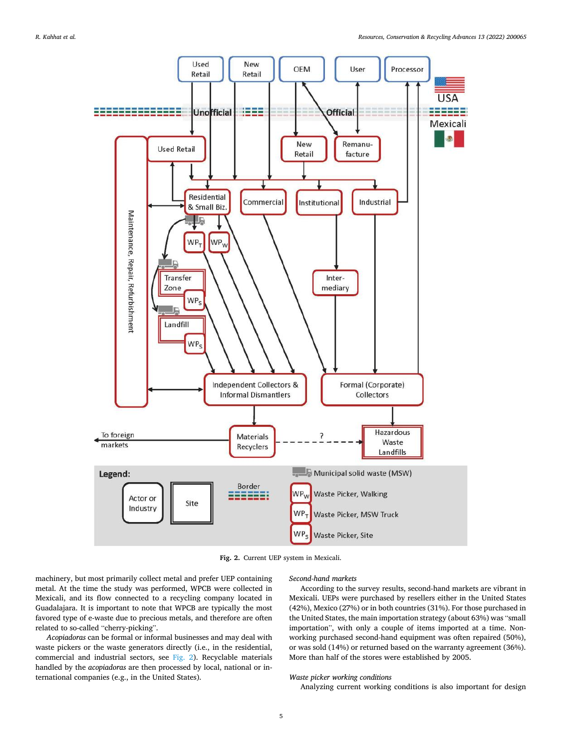<span id="page-4-0"></span>

**Fig. 2.** Current UEP system in Mexicali.

machinery, but most primarily collect metal and prefer UEP containing metal. At the time the study was performed, WPCB were collected in Mexicali, and its flow connected to a recycling company located in Guadalajara. It is important to note that WPCB are typically the most favored type of e-waste due to precious metals, and therefore are often related to so-called "cherry-picking".

*Acopiadoras* can be formal or informal businesses and may deal with waste pickers or the waste generators directly (i.e., in the residential, commercial and industrial sectors, see Fig. 2). Recyclable materials handled by the *acopiadoras* are then processed by local, national or international companies (e.g., in the United States).

## *Second-hand markets*

According to the survey results, second-hand markets are vibrant in Mexicali. UEPs were purchased by resellers either in the United States (42%), Mexico (27%) or in both countries (31%). For those purchased in the United States, the main importation strategy (about 63%) was "small importation", with only a couple of items imported at a time. Nonworking purchased second-hand equipment was often repaired (50%), or was sold (14%) or returned based on the warranty agreement (36%). More than half of the stores were established by 2005.

#### *Waste picker working conditions*

Analyzing current working conditions is also important for design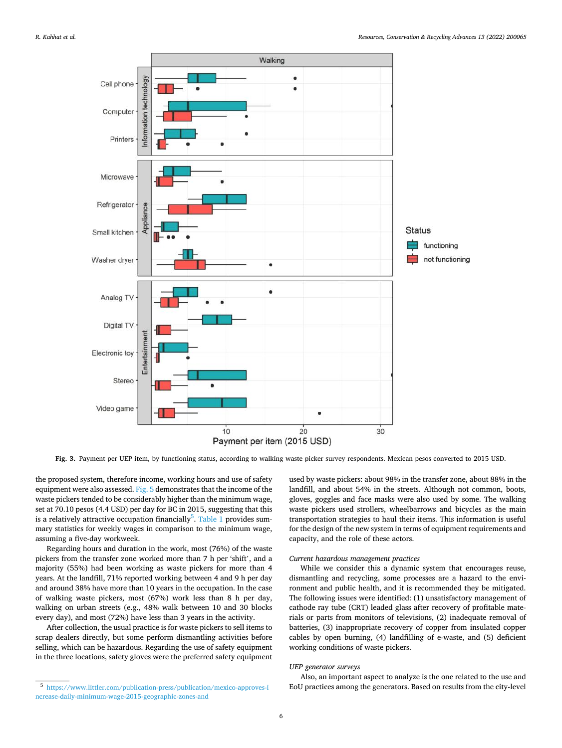<span id="page-5-0"></span>

**Fig. 3.** Payment per UEP item, by functioning status, according to walking waste picker survey respondents. Mexican pesos converted to 2015 USD.

the proposed system, therefore income, working hours and use of safety equipment were also assessed. [Fig. 5](#page-6-0) demonstrates that the income of the waste pickers tended to be considerably higher than the minimum wage, set at 70.10 pesos (4.4 USD) per day for BC in 2015, suggesting that this is a relatively attractive occupation financially $^5$ . [Table 1](#page-7-0) provides summary statistics for weekly wages in comparison to the minimum wage, assuming a five-day workweek.

Regarding hours and duration in the work, most (76%) of the waste pickers from the transfer zone worked more than 7 h per 'shift', and a majority (55%) had been working as waste pickers for more than 4 years. At the landfill, 71% reported working between 4 and 9 h per day and around 38% have more than 10 years in the occupation. In the case of walking waste pickers, most (67%) work less than 8 h per day, walking on urban streets (e.g., 48% walk between 10 and 30 blocks every day), and most (72%) have less than 3 years in the activity.

After collection, the usual practice is for waste pickers to sell items to scrap dealers directly, but some perform dismantling activities before selling, which can be hazardous. Regarding the use of safety equipment in the three locations, safety gloves were the preferred safety equipment used by waste pickers: about 98% in the transfer zone, about 88% in the landfill, and about 54% in the streets. Although not common, boots, gloves, goggles and face masks were also used by some. The walking waste pickers used strollers, wheelbarrows and bicycles as the main transportation strategies to haul their items. This information is useful for the design of the new system in terms of equipment requirements and capacity, and the role of these actors.

#### *Current hazardous management practices*

While we consider this a dynamic system that encourages reuse, dismantling and recycling, some processes are a hazard to the environment and public health, and it is recommended they be mitigated. The following issues were identified: (1) unsatisfactory management of cathode ray tube (CRT) leaded glass after recovery of profitable materials or parts from monitors of televisions, (2) inadequate removal of batteries, (3) inappropriate recovery of copper from insulated copper cables by open burning, (4) landfilling of e-waste, and (5) deficient working conditions of waste pickers.

## *UEP generator surveys*

Also, an important aspect to analyze is the one related to the use and EoU practices among the generators. Based on results from the city-level

<sup>5</sup> [https://www.littler.com/publication-press/publication/mexico-approves-i](https://www.littler.com/publication-press/publication/mexico-approves-increase-daily-minimum-wage-2015-geographic-zones-and) [ncrease-daily-minimum-wage-2015-geographic-zones-and](https://www.littler.com/publication-press/publication/mexico-approves-increase-daily-minimum-wage-2015-geographic-zones-and)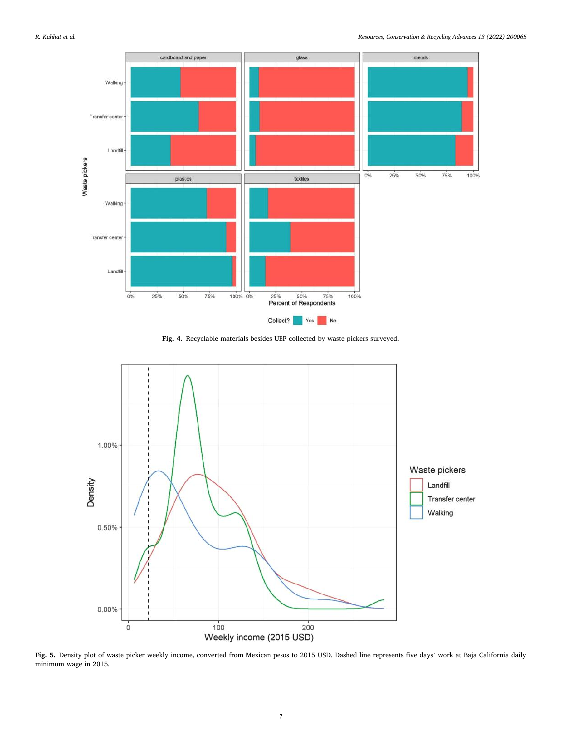<span id="page-6-0"></span>

**Fig. 4.** Recyclable materials besides UEP collected by waste pickers surveyed.



**Fig. 5.** Density plot of waste picker weekly income, converted from Mexican pesos to 2015 USD. Dashed line represents five days' work at Baja California daily minimum wage in 2015.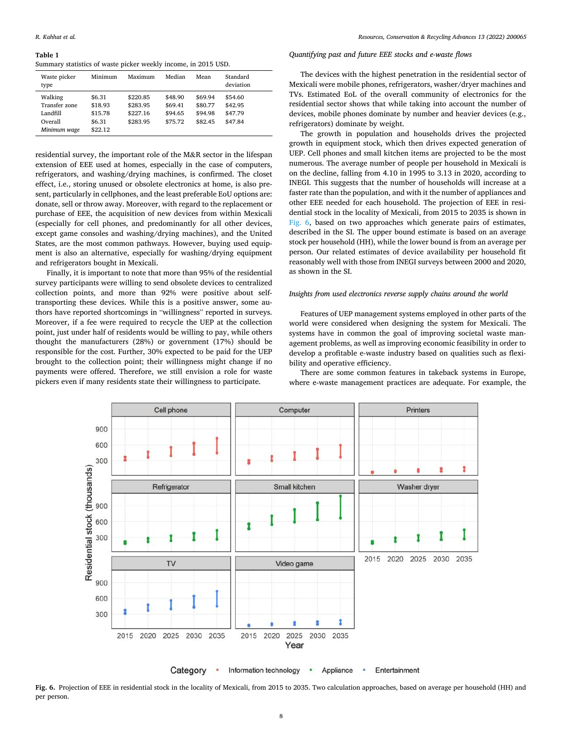<span id="page-7-0"></span>**Table 1** 

Summary statistics of waste picker weekly income, in 2015 USD.

| Waste picker<br>type                            | Minimum                      | Maximum                          | Median                        | Mean                          | Standard<br>deviation         |
|-------------------------------------------------|------------------------------|----------------------------------|-------------------------------|-------------------------------|-------------------------------|
| Walking<br>Transfer zone<br>Landfill<br>Overall | \$6.31<br>\$18.93<br>\$15.78 | \$220.85<br>\$283.95<br>\$227.16 | \$48.90<br>\$69.41<br>\$94.65 | \$69.94<br>\$80.77<br>\$94.98 | \$54.60<br>\$42.95<br>\$47.79 |
| Minimum wage                                    | \$6.31<br>\$22.12            | \$283.95                         | \$75.72                       | \$82.45                       | \$47.84                       |

residential survey, the important role of the M&R sector in the lifespan extension of EEE used at homes, especially in the case of computers, refrigerators, and washing/drying machines, is confirmed. The closet effect, i.e., storing unused or obsolete electronics at home, is also present, particularly in cellphones, and the least preferable EoU options are: donate, sell or throw away. Moreover, with regard to the replacement or purchase of EEE, the acquisition of new devices from within Mexicali (especially for cell phones, and predominantly for all other devices, except game consoles and washing/drying machines), and the United States, are the most common pathways. However, buying used equipment is also an alternative, especially for washing/drying equipment and refrigerators bought in Mexicali.

Finally, it is important to note that more than 95% of the residential survey participants were willing to send obsolete devices to centralized collection points, and more than 92% were positive about selftransporting these devices. While this is a positive answer, some authors have reported shortcomings in "willingness" reported in surveys. Moreover, if a fee were required to recycle the UEP at the collection point, just under half of residents would be willing to pay, while others thought the manufacturers (28%) or government (17%) should be responsible for the cost. Further, 30% expected to be paid for the UEP brought to the collection point; their willingness might change if no payments were offered. Therefore, we still envision a role for waste pickers even if many residents state their willingness to participate.

## *Quantifying past and future EEE stocks and e-waste flows*

The devices with the highest penetration in the residential sector of Mexicali were mobile phones, refrigerators, washer/dryer machines and TVs. Estimated EoL of the overall community of electronics for the residential sector shows that while taking into account the number of devices, mobile phones dominate by number and heavier devices (e.g., refrigerators) dominate by weight.

The growth in population and households drives the projected growth in equipment stock, which then drives expected generation of UEP. Cell phones and small kitchen items are projected to be the most numerous. The average number of people per household in Mexicali is on the decline, falling from 4.10 in 1995 to 3.13 in 2020, according to INEGI. This suggests that the number of households will increase at a faster rate than the population, and with it the number of appliances and other EEE needed for each household. The projection of EEE in residential stock in the locality of Mexicali, from 2015 to 2035 is shown in Fig. 6, based on two approaches which generate pairs of estimates, described in the SI. The upper bound estimate is based on an average stock per household (HH), while the lower bound is from an average per person. Our related estimates of device availability per household fit reasonably well with those from INEGI surveys between 2000 and 2020, as shown in the SI.

## *Insights from used electronics reverse supply chains around the world*

Features of UEP management systems employed in other parts of the world were considered when designing the system for Mexicali. The systems have in common the goal of improving societal waste management problems, as well as improving economic feasibility in order to develop a profitable e-waste industry based on qualities such as flexibility and operative efficiency.

There are some common features in takeback systems in Europe, where e-waste management practices are adequate. For example, the



**Fig. 6.** Projection of EEE in residential stock in the locality of Mexicali, from 2015 to 2035. Two calculation approaches, based on average per household (HH) and per person.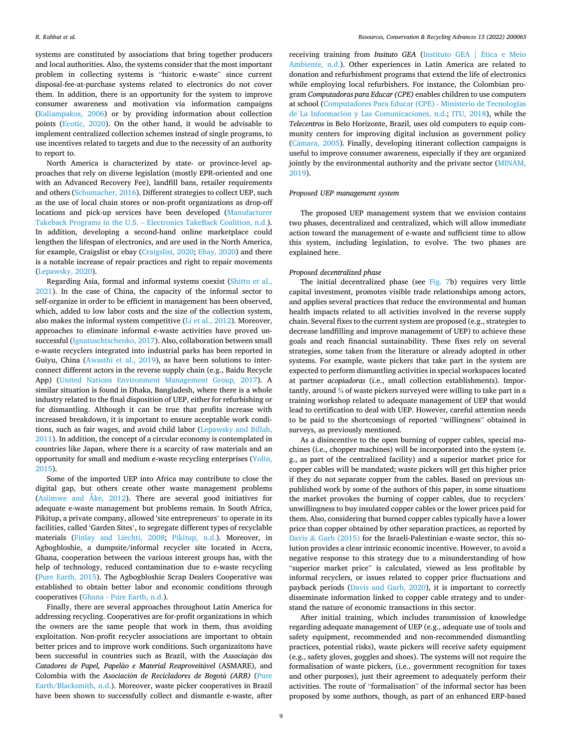systems are constituted by associations that bring together producers and local authorities. Also, the systems consider that the most important problem in collecting systems is "historic e-waste" since current disposal-fee-at-purchase systems related to electronics do not cover them. In addition, there is an opportunity for the system to improve consumer awareness and motivation via information campaigns ([Kaliampakos, 2006\)](#page-11-0) or by providing information about collection points [\(Ecotic, 2020\)](#page-11-0). On the other hand, it would be advisable to implement centralized collection schemes instead of single programs, to use incentives related to targets and due to the necessity of an authority to report to.

North America is characterized by state- or province-level approaches that rely on diverse legislation (mostly EPR-oriented and one with an Advanced Recovery Fee), landfill bans, retailer requirements and others [\(Schumacher, 2016](#page-11-0)). Different strategies to collect UEP, such as the use of local chain stores or non-profit organizations as drop-off locations and pick-up services have been developed ([Manufacturer](#page-11-0)  Takeback Programs in the U.S. – [Electronics TakeBack Coalition, n.d.](#page-11-0)). In addition, developing a second-hand online marketplace could lengthen the lifespan of electronics, and are used in the North America, for example, Craigslist or ebay [\(Craigslist, 2020;](#page-10-0) [Ebay, 2020\)](#page-11-0) and there is a notable increase of repair practices and right to repair movements ([Lepawsky, 2020\)](#page-11-0).

Regarding Asia, formal and informal systems coexist [\(Shittu et al.,](#page-11-0)  [2021\)](#page-11-0). In the case of China, the capacity of the informal sector to self-organize in order to be efficient in management has been observed, which, added to low labor costs and the size of the collection system, also makes the informal system competitive ([Li et al., 2012](#page-11-0)). Moreover, approaches to eliminate informal e-waste activities have proved unsuccessful [\(Ignatuschtschenko, 2017](#page-11-0)). Also, collaboration between small e-waste recyclers integrated into industrial parks has been reported in Guiyu, China [\(Awasthi et al., 2019](#page-10-0)), as have been solutions to interconnect different actors in the reverse supply chain (e.g., Baidu Recycle App) [\(United Nations Environment Management Group, 2017\)](#page-12-0). A similar situation is found in Dhaka, Bangladesh, where there is a whole industry related to the final disposition of UEP, either for refurbishing or for dismantling. Although it can be true that profits increase with increased breakdown, it is important to ensure acceptable work conditions, such as fair wages, and avoid child labor ([Lepawsky and Billah,](#page-11-0)  [2011\)](#page-11-0). In addition, the concept of a circular economy is contemplated in countries like Japan, where there is a scarcity of raw materials and an opportunity for small and medium e-waste recycling enterprises ([Yolin,](#page-12-0)  [2015\)](#page-12-0).

Some of the imported UEP into Africa may contribute to close the digital gap, but others create other waste management problems ([Asiimwe and Åke, 2012](#page-10-0)). There are several good initiatives for adequate e-waste management but problems remain. In South Africa, Pikitup, a private company, allowed 'site entrepreneurs' to operate in its facilities, called 'Garden Sites', to segregate different types of recyclable materials ([Finlay and Liechti, 2008;](#page-11-0) [Pikitup, n.d.](#page-11-0)). Moreover, in Agbogbloshie, a dumpsite/informal recycler site located in Accra, Ghana, cooperation between the various interest groups has, with the help of technology, reduced contamination due to e-waste recycling ([Pure Earth, 2015](#page-11-0)). The Agbogbloshie Scrap Dealers Cooperative was established to obtain better labor and economic conditions through cooperatives [\(Ghana - Pure Earth, n.d.](#page-11-0)).

Finally, there are several approaches throughout Latin America for addressing recycling. Cooperatives are for-profit organizations in which the owners are the same people that work in them, thus avoiding exploitation. Non-profit recycler associations are important to obtain better prices and to improve work conditions. Such organizaitons have been successful in countries such as Brazil, with the Associação dos *Catadores de Papel, Papelao* ˜ *e Material Reaproveitavel* ´ (ASMARE), and Colombia with the *Asociación de Recicladores de Bogotá (ARB)* (Pure [Earth/Blacksmith, n.d.\)](#page-11-0). Moreover, waste picker cooperatives in Brazil have been shown to successfully collect and dismantle e-waste, after

receiving training from *Insituto GEA* (Instituto GEA | Ética e Meio [Ambiente, n.d.\)](#page-11-0). Other experiences in Latin America are related to donation and refurbishment programs that extend the life of electronics while employing local refurbishers. For instance, the Colombian program *Computadoras para Educar (CPE)* enables children to use computers at school ([Computadores Para Educar \(CPE\) - Ministerio de Tecnologías](#page-10-0)  de La Información [y Las Comunicaciones, n.d.;](#page-10-0) [ITU, 2018\)](#page-11-0), while the *Telecentros* in Belo Horizonte, Brazil, uses old computers to equip community centers for improving digital inclusion as government policy (Câmara, 2005). Finally, developing itinerant collection campaigns is useful to improve consumer awareness, especially if they are organized jointly by the environmental authority and the private sector ([MINAM,](#page-11-0)  [2019\)](#page-11-0).

#### *Proposed UEP management system*

The proposed UEP management system that we envision contains two phases, decentralized and centralized, which will allow immediate action toward the management of e-waste and sufficient time to allow this system, including legislation, to evolve. The two phases are explained here.

# *Proposed decentralized phase*

The initial decentralized phase (see [Fig. 7](#page-9-0)b) requires very little capital investment, promotes visible trade relationships among actors, and applies several practices that reduce the environmental and human health impacts related to all activities involved in the reverse supply chain. Several fixes to the current system are proposed (e.g., strategies to decrease landfilling and improve management of UEP) to achieve these goals and reach financial sustainability. These fixes rely on several strategies, some taken from the literature or already adopted in other systems. For example, waste pickers that take part in the system are expected to perform dismantling activities in special workspaces located at partner *acopiadoras* (i.e., small collection establishments). Importantly, around ¾ of waste pickers surveyed were willing to take part in a training workshop related to adequate management of UEP that would lead to certification to deal with UEP. However, careful attention needs to be paid to the shortcomings of reported "willingness" obtained in surveys, as previously mentioned.

As a disincentive to the open burning of copper cables, special machines (i.e., chopper machines) will be incorporated into the system (e. g., as part of the centralized facility) and a superior market price for copper cables will be mandated; waste pickers will get this higher price if they do not separate copper from the cables. Based on previous unpublished work by some of the authors of this paper, in some situations the market provokes the burning of copper cables, due to recyclers' unwillingness to buy insulated copper cables or the lower prices paid for them. Also, considering that burned copper cables typically have a lower price than copper obtained by other separation practices, as reported by Davis & Garb  $(2015)$  for the Israeli-Palestinian e-waste sector, this solution provides a clear intrinsic economic incentive. However, to avoid a negative response to this strategy due to a misunderstanding of how "superior market price" is calculated, viewed as less profitable by informal recyclers, or issues related to copper price fluctuations and payback periods [\(Davis and Garb, 2020](#page-11-0)), it is important to correctly disseminate information linked to copper cable strategy and to understand the nature of economic transactions in this sector.

After initial training, which includes transmission of knowledge regarding adequate management of UEP (e.g., adequate use of tools and safety equipment, recommended and non-recommended dismantling practices, potential risks), waste pickers will receive safety equipment (e.g., safety gloves, goggles and shoes). The systems will not require the formalisation of waste pickers, (i.e., government recognition for taxes and other purposes), just their agreement to adequately perform their activities. The route of "formalisation" of the informal sector has been proposed by some authors, though, as part of an enhanced ERP-based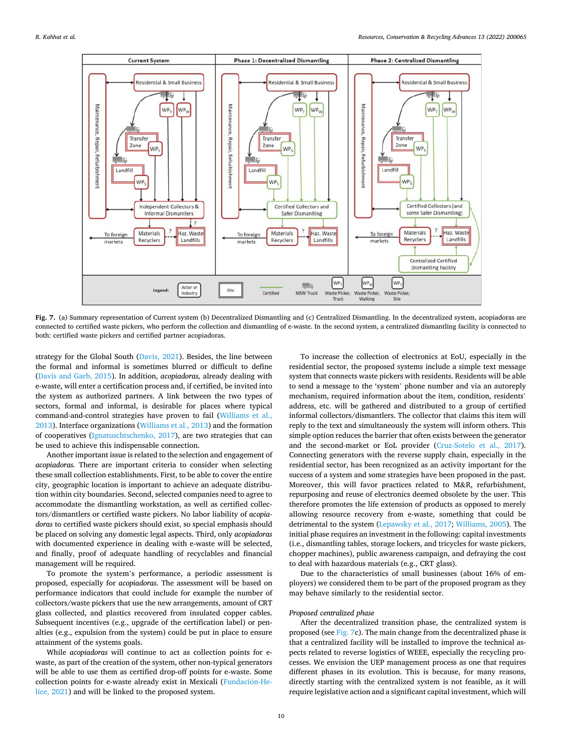<span id="page-9-0"></span>

Fig. 7. (a) Summary representation of Current system (b) Decentralized Dismantling and (c) Centralized Dismantling. In the decentralized system, acopiadoras are connected to certified waste pickers, who perform the collection and dismantling of e-waste. In the second system, a centralized dismantling facility is connected to both: certified waste pickers and certified partner acopiadoras.

strategy for the Global South ([Davis, 2021\)](#page-11-0). Besides, the line between the formal and informal is sometimes blurred or difficult to define ([Davis and Garb, 2015](#page-11-0)). In addition, *acopiadoras,* already dealing with e-waste, will enter a certification process and, if certified, be invited into the system as authorized partners. A link between the two types of sectors, formal and informal, is desirable for places where typical command-and-control strategies have proven to fail [\(Williams et al.,](#page-12-0)  [2013\)](#page-12-0). Interface organizations [\(Williams et al., 2013\)](#page-12-0) and the formation of cooperatives [\(Ignatuschtschenko, 2017\)](#page-11-0), are two strategies that can be used to achieve this indispensable connection.

Another important issue is related to the selection and engagement of *acopiadoras.* There are important criteria to consider when selecting these small collection establishments. First, to be able to cover the entire city, geographic location is important to achieve an adequate distribution within city boundaries. Second, selected companies need to agree to accommodate the dismantling workstation, as well as certified collectors/dismantlers or certified waste pickers. No labor liability of *acopiadoras* to certified waste pickers should exist, so special emphasis should be placed on solving any domestic legal aspects. Third, only *acopiadoras*  with documented experience in dealing with e-waste will be selected, and finally, proof of adequate handling of recyclables and financial management will be required.

To promote the system's performance, a periodic assessment is proposed, especially for *acopiadoras*. The assessment will be based on performance indicators that could include for example the number of collectors/waste pickers that use the new arrangements, amount of CRT glass collected, and plastics recovered from insulated copper cables. Subsequent incentives (e.g., upgrade of the certification label) or penalties (e.g., expulsion from the system) could be put in place to ensure attainment of the systems goals.

While *acopiadoras* will continue to act as collection points for ewaste, as part of the creation of the system, other non-typical generators will be able to use them as certified drop-off points for e-waste. Some collection points for e-waste already exist in Mexicali (Fundación-He[lice, 2021\)](#page-11-0) and will be linked to the proposed system.

To increase the collection of electronics at EoU, especially in the residential sector, the proposed systems include a simple text message system that connects waste pickers with residents. Residents will be able to send a message to the 'system' phone number and via an autoreply mechanism, required information about the item, condition, residents' address, etc. will be gathered and distributed to a group of certified informal collectors/dismantlers. The collector that claims this item will reply to the text and simultaneously the system will inform others. This simple option reduces the barrier that often exists between the generator and the second-market or EoL provider ([Cruz-Sotelo et al., 2017](#page-11-0)). Connecting generators with the reverse supply chain, especially in the residential sector, has been recognized as an activity important for the success of a system and some strategies have been proposed in the past. Moreover, this will favor practices related to M&R, refurbishment, repurposing and reuse of electronics deemed obsolete by the user. This therefore promotes the life extension of products as opposed to merely allowing resource recovery from e-waste, something that could be detrimental to the system ([Lepawsky et al., 2017;](#page-11-0) [Williams, 2005\)](#page-12-0). The initial phase requires an investment in the following: capital investments (i.e., dismantling tables, storage lockers, and tricycles for waste pickers, chopper machines), public awareness campaign, and defraying the cost to deal with hazardous materials (e.g., CRT glass).

Due to the characteristics of small businesses (about 16% of employers) we considered them to be part of the proposed program as they may behave similarly to the residential sector.

#### *Proposed centralized phase*

After the decentralized transition phase, the centralized system is proposed (see Fig. 7c). The main change from the decentralized phase is that a centralized facility will be installed to improve the technical aspects related to reverse logistics of WEEE, especially the recycling processes. We envision the UEP management process as one that requires different phases in its evolution. This is because, for many reasons, directly starting with the centralized system is not feasible, as it will require legislative action and a significant capital investment, which will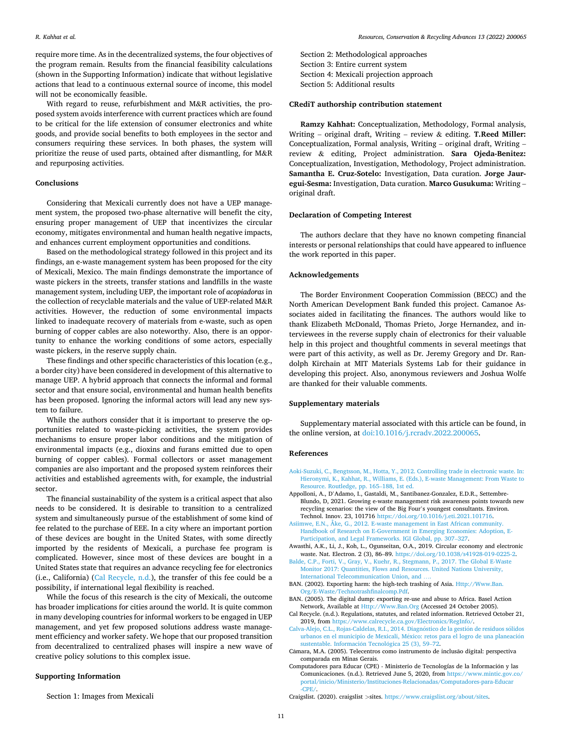<span id="page-10-0"></span>require more time. As in the decentralized systems, the four objectives of the program remain. Results from the financial feasibility calculations (shown in the Supporting Information) indicate that without legislative actions that lead to a continuous external source of income, this model will not be economically feasible.

With regard to reuse, refurbishment and M&R activities, the proposed system avoids interference with current practices which are found to be critical for the life extension of consumer electronics and white goods, and provide social benefits to both employees in the sector and consumers requiring these services. In both phases, the system will prioritize the reuse of used parts, obtained after dismantling, for M&R and repurposing activities.

### **Conclusions**

Considering that Mexicali currently does not have a UEP management system, the proposed two-phase alternative will benefit the city, ensuring proper management of UEP that incentivizes the circular economy, mitigates environmental and human health negative impacts, and enhances current employment opportunities and conditions.

Based on the methodological strategy followed in this project and its findings, an e-waste management system has been proposed for the city of Mexicali, Mexico. The main findings demonstrate the importance of waste pickers in the streets, transfer stations and landfills in the waste management system, including UEP, the important role of *acopiadoras* in the collection of recyclable materials and the value of UEP-related M&R activities. However, the reduction of some environmental impacts linked to inadequate recovery of materials from e-waste, such as open burning of copper cables are also noteworthy. Also, there is an opportunity to enhance the working conditions of some actors, especially waste pickers, in the reserve supply chain.

These findings and other specific characteristics of this location (e.g., a border city) have been considered in development of this alternative to manage UEP. A hybrid approach that connects the informal and formal sector and that ensure social, environmental and human health benefits has been proposed. Ignoring the informal actors will lead any new system to failure.

While the authors consider that it is important to preserve the opportunities related to waste-picking activities, the system provides mechanisms to ensure proper labor conditions and the mitigation of environmental impacts (e.g., dioxins and furans emitted due to open burning of copper cables). Formal collectors or asset management companies are also important and the proposed system reinforces their activities and established agreements with, for example, the industrial sector.

The financial sustainability of the system is a critical aspect that also needs to be considered. It is desirable to transition to a centralized system and simultaneously pursue of the establishment of some kind of fee related to the purchase of EEE. In a city where an important portion of these devices are bought in the United States, with some directly imported by the residents of Mexicali, a purchase fee program is complicated. However, since most of these devices are bought in a United States state that requires an advance recycling fee for electronics (i.e., California) (Cal Recycle, n.d.), the transfer of this fee could be a possibility, if international legal flexibility is reached.

While the focus of this research is the city of Mexicali, the outcome has broader implications for cities around the world. It is quite common in many developing countries for informal workers to be engaged in UEP management, and yet few proposed solutions address waste management efficiency and worker safety. We hope that our proposed transition from decentralized to centralized phases will inspire a new wave of creative policy solutions to this complex issue.

## **Supporting Information**

Section 1: Images from Mexicali

Section 2: Methodological approaches Section 3: Entire current system Section 4: Mexicali projection approach Section 5: Additional results

### **CRediT authorship contribution statement**

**Ramzy Kahhat:** Conceptualization, Methodology, Formal analysis, Writing – original draft, Writing – review & editing. **T.Reed Miller:**  Conceptualization, Formal analysis, Writing – original draft, Writing – review & editing, Project administration. **Sara Ojeda-Benitez:**  Conceptualization, Investigation, Methodology, Project administration. **Samantha E. Cruz-Sotelo:** Investigation, Data curation. **Jorge Jauregui-Sesma:** Investigation, Data curation. **Marco Gusukuma:** Writing – original draft.

## **Declaration of Competing Interest**

The authors declare that they have no known competing financial interests or personal relationships that could have appeared to influence the work reported in this paper.

### **Acknowledgements**

The Border Environment Cooperation Commission (BECC) and the North American Development Bank funded this project. Camanoe Associates aided in facilitating the finances. The authors would like to thank Elizabeth McDonald, Thomas Prieto, Jorge Hernandez, and interviewees in the reverse supply chain of electronics for their valuable help in this project and thoughtful comments in several meetings that were part of this activity, as well as Dr. Jeremy Gregory and Dr. Randolph Kirchain at MIT Materials Systems Lab for their guidance in developing this project. Also, anonymous reviewers and Joshua Wolfe are thanked for their valuable comments.

## **Supplementary materials**

Supplementary material associated with this article can be found, in the online version, at [doi:10.1016/j.rcradv.2022.200065](https://doi.org/10.1016/j.rcradv.2022.200065).

#### **References**

- [Aoki-Suzuki, C., Bengtsson, M., Hotta, Y., 2012. Controlling trade in electronic waste. In:](http://refhub.elsevier.com/S2667-3789(22)00003-7/sbref0001)  [Hieronymi, K., Kahhat, R., Williams, E. \(Eds.\), E-waste Management: From Waste to](http://refhub.elsevier.com/S2667-3789(22)00003-7/sbref0001)  [Resource. Routledge, pp. 165](http://refhub.elsevier.com/S2667-3789(22)00003-7/sbref0001)–188, 1st ed.
- Appolloni, A., D'Adamo, I., Gastaldi, M., Santibanez-Gonzalez, E.D.R., Settembre-Blundo, D, 2021. Growing e-waste management risk awareness points towards new recycling scenarios: the view of the Big Four's youngest consultants. Environ. Technol. Innov. 23, 101716 [https://doi.org/10.1016/j.eti.2021.101716.](https://doi.org/10.1016/j.eti.2021.101716)
- [Asiimwe, E.N., Åke, G., 2012. E-waste management in East African community.](http://refhub.elsevier.com/S2667-3789(22)00003-7/sbref0003) [Handbook of Research on E-Government in Emerging Economies: Adoption, E-](http://refhub.elsevier.com/S2667-3789(22)00003-7/sbref0003)[Participation, and Legal Frameworks. IGI Global, pp. 307](http://refhub.elsevier.com/S2667-3789(22)00003-7/sbref0003)–327.
- Awasthi, A.K., Li, J., Koh, L., Ogunseitan, O.A., 2019. Circular economy and electronic waste. Nat. Electron. 2 (3), 86–89.<https://doi.org/10.1038/s41928-019-0225-2>.
- [Balde, C.P., Forti, V., Gray, V., Kuehr, R., Stegmann, P., 2017. The Global E-Waste](http://refhub.elsevier.com/S2667-3789(22)00003-7/sbref0005) [Monitor 2017: Quantities, Flows and Resources. United Nations University,](http://refhub.elsevier.com/S2667-3789(22)00003-7/sbref0005) [International Telecommunication Union, and](http://refhub.elsevier.com/S2667-3789(22)00003-7/sbref0005) ….
- BAN. (2002). Exporting harm: the high-tech trashing of Asia. [Http://Www.Ban.](http://Www.Ban.Org/E-Waste/Technotrashfinalcomp.Pdf) [Org/E-Waste/Technotrashfinalcomp.Pdf](http://Www.Ban.Org/E-Waste/Technotrashfinalcomp.Pdf).
- BAN. (2005). The digital dump: exporting re-use and abuse to Africa. Basel Action Network, Available at [Http://Www.Ban.Org](http://Www.Ban.Org) (Accessed 24 October 2005).
- Cal Recycle. (n.d.). Regulations, statutes, and related information. Retrieved October 21, 2019, from [https://www.calrecycle.ca.gov/Electronics/RegInfo/.](https://www.calrecycle.ca.gov/Electronics/RegInfo/)
- Calva-Alejo, C.L., Rojas-Caldelas, R.I., 2014. Diagnóstico de la gestión de residuos sólidos urbanos en el municipio de Mexicali, México: retos para el logro de una planeación sustentable. Información Tecnológica 25 (3), 59–72.
- Câmara, M.A. (2005). Telecentros como instrumento de inclusão digital: perspectiva comparada em Minas Gerais.
- Computadores para Educar (CPE) Ministerio de Tecnologías de la Información y las Comunicaciones. (n.d.). Retrieved June 5, 2020, from [https://www.mintic.gov.co/](https://www.mintic.gov.co/portal/inicio/Ministerio/Instituciones-Relacionadas/Computadores-para-Educar-CPE/) [portal/inicio/Ministerio/Instituciones-Relacionadas/Computadores-para-Educar](https://www.mintic.gov.co/portal/inicio/Ministerio/Instituciones-Relacionadas/Computadores-para-Educar-CPE/)  $-CPF/$

Craigslist. (2020). craigslist *>*sites. [https://www.craigslist.org/about/sites.](https://www.craigslist.org/about/sites)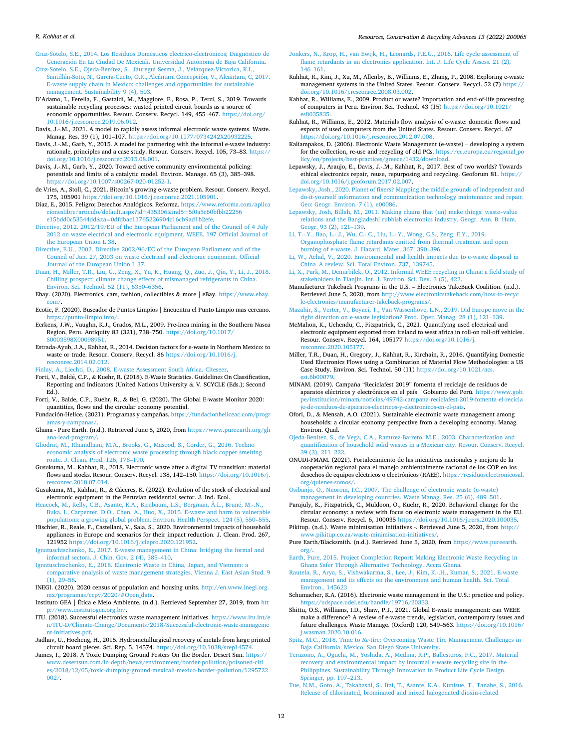#### <span id="page-11-0"></span>*R. Kahhat et al.*

[Cruz-Sotelo, S.E., 2014. Los Residuos Dom](http://refhub.elsevier.com/S2667-3789(22)00003-7/sbref0013)ésticos eléctrico-electrónicos; Diagnóstico de Generación En La Ciudad De Mexicali. Universidad Autónoma de Baja California.

- Cruz-Sotelo, S.E., Ojeda-Benítez, S., Jáuregui Sesma, J., Velázquez-Victorica, K.I., Santillán-Soto, N., García-Cueto, O.R., Alcántara Concepción, V., Alcántara, C, 2017. [E-waste supply chain in Mexico: challenges and opportunities for sustainable](http://refhub.elsevier.com/S2667-3789(22)00003-7/sbref0014) [management. Sustainability 9 \(4\), 503](http://refhub.elsevier.com/S2667-3789(22)00003-7/sbref0014).
- D'Adamo, I., Ferella, F., Gastaldi, M., Maggiore, F., Rosa, P., Terzi, S., 2019. Towards sustainable recycling processes: wasted printed circuit boards as a source of economic opportunities. Resour. Conserv. Recycl. 149, 455–467. [https://doi.org/](https://doi.org/10.1016/j.resconrec.2019.06.012) [10.1016/j.resconrec.2019.06.012](https://doi.org/10.1016/j.resconrec.2019.06.012).
- Davis, J.-.M., 2021. A model to rapidly assess informal electronic waste systems. Waste. Manag. Res. 39 (1), 101-107. https://doi.org/10.1177/0734242X2093222
- Davis, J.-.M., Garb, Y., 2015. A model for partnering with the informal e-waste industry: rationale, principles and a case study. Resour. Conserv. Recycl. 105, 73–83. [https://](https://doi.org/10.1016/j.resconrec.2015.08.001)  [doi.org/10.1016/j.resconrec.2015.08.001](https://doi.org/10.1016/j.resconrec.2015.08.001).

Davis, J.-.M., Garb, Y., 2020. Toward active community environmental policing: potentials and limits of a catalytic model. Environ. Manage. 65 (3), 385–398. <https://doi.org/10.1007/s00267-020-01252-1>.

- de Vries, A., Stoll, C., 2021. Bitcoin's growing e-waste problem. Resour. Conserv. Recycl. 175, 105901 [https://doi.org/10.1016/j.resconrec.2021.105901.](https://doi.org/10.1016/j.resconrec.2021.105901)
- Diaz, E., 2015. Peligro; Desechos Analógicos. Reforma. https://www.reforma.com/aplica [cioneslibre/articulo/default.aspx?id](https://www.reforma.com/aplicacioneslibre/articulo/default.aspx?id=435306&tnqh_x0026;md5=5f0a5c60bfbb22256e15bdd0c53544dd&tnqh_x0026;ta=0dfdbac11765226904c16cb9ad1b2efe)=435306&md5=5f0a5c60bfbb22256 e15bdd0c53544dd&ta=[0dfdbac11765226904c16cb9ad1b2efe.](https://www.reforma.com/aplicacioneslibre/articulo/default.aspx?id=435306&tnqh_x0026;md5=5f0a5c60bfbb22256e15bdd0c53544dd&tnqh_x0026;ta=0dfdbac11765226904c16cb9ad1b2efe)
- [Directive, 2012. 2012/19/EU of the European Parliament and of the Council of 4 July](http://refhub.elsevier.com/S2667-3789(22)00003-7/sbref0021)  [2012 on waste electrical and electronic equipment, WEEE. 197 Official Journal of](http://refhub.elsevier.com/S2667-3789(22)00003-7/sbref0021)  [the European Union L 38.](http://refhub.elsevier.com/S2667-3789(22)00003-7/sbref0021)
- [Directive, E.U., 2002. Directive 2002/96/EC of the European Parliament and of the](http://refhub.elsevier.com/S2667-3789(22)00003-7/sbref0022) [Council of Jan. 27, 2003 on waste electrical and electronic equipment. Official](http://refhub.elsevier.com/S2667-3789(22)00003-7/sbref0022)  [Journal of the European Union L 37.](http://refhub.elsevier.com/S2667-3789(22)00003-7/sbref0022)
- [Duan, H., Miller, T.R., Liu, G., Zeng, X., Yu, K., Huang, Q., Zuo, J., Qin, Y., Li, J., 2018.](http://refhub.elsevier.com/S2667-3789(22)00003-7/sbref0023)  [Chilling prospect: climate change effects of mismanaged refrigerants in China.](http://refhub.elsevier.com/S2667-3789(22)00003-7/sbref0023)  [Environ. Sci. Technol. 52 \(11\), 6350](http://refhub.elsevier.com/S2667-3789(22)00003-7/sbref0023)–6356.
- Ebay. (2020). Electronics, cars, fashion, collectibles & more | eBay. [https://www.ebay.](https://www.ebay.com/) [com/.](https://www.ebay.com/)
- Ecotic, F. (2020). Buscador de Puntos Limpios | Encuentra el Punto Limpio mas cercano. <https://punto-limpio.info/>.
- Eerkens, J.W., Vaughn, K.J., Grados, M.L., 2009. Pre-Inca mining in the Southern Nasca Region, Peru. Antiquity 83 (321), 738–750. [https://doi.org/10.1017/](https://doi.org/10.1017/S0003598X00098951)  [S0003598X00098951.](https://doi.org/10.1017/S0003598X00098951)
- Estrada-Ayub, J.A., Kahhat, R., 2014. Decision factors for e-waste in Northern Mexico: to waste or trade. Resour. Conserv. Recycl. 86 [https://doi.org/10.1016/j.](https://doi.org/10.1016/j.resconrec.2014.02.012) [resconrec.2014.02.012](https://doi.org/10.1016/j.resconrec.2014.02.012).
- [Finlay, A., Liechti, D., 2008. E-waste Assessment South Africa. Citeseer](http://refhub.elsevier.com/S2667-3789(22)00003-7/sbref0028).
- Forti, V., Bald´e, C.P., & Kuehr, R. (2018). E-Waste Statistics. Guidelines On Classification, Reporting and Indicators (United Nations University & V. SCYCLE (Eds.); Second Ed.).
- Forti, V., Balde, C.P., Kuehr, R., & Bel, G. (2020). The Global E-waste Monitor 2020: quantities, flows and the circular economy potential.
- Fundación-Helice. (2021). Programas y campañas. https://fundacionheliceac.com/progr [amas-y-campanas/](https://fundacionheliceac.com/programas-y-campanas/).
- Ghana Pure Earth. (n.d.). Retrieved June 5, 2020, from [https://www.pureearth.org/gh](https://www.pureearth.org/ghana-lead-program/)  [ana-lead-program/.](https://www.pureearth.org/ghana-lead-program/)
- [Ghodrat, M., Rhamdhani, M.A., Brooks, G., Masood, S., Corder, G., 2016. Techno](http://refhub.elsevier.com/S2667-3789(22)00003-7/sbref0033)  [economic analysis of electronic waste processing through black copper smelting](http://refhub.elsevier.com/S2667-3789(22)00003-7/sbref0033)  [route. J. Clean. Prod. 126, 178](http://refhub.elsevier.com/S2667-3789(22)00003-7/sbref0033)–190.
- Gusukuma, M., Kahhat, R., 2018. Electronic waste after a digital TV transition: material flows and stocks. Resour. Conserv. Recycl. 138, 142–150. [https://doi.org/10.1016/j.](https://doi.org/10.1016/j.resconrec.2018.07.014)  [resconrec.2018.07.014](https://doi.org/10.1016/j.resconrec.2018.07.014).
- Gusukuma, M., Kahhat, R., & Cáceres, K. (2022). Evolution of the stock of electrical and electronic equipment in the Peruvian residential sector. J. Ind. Ecol.

[Heacock, M., Kelly, C.B., Asante, K.A., Birnbaum, L.S., Bergman, Å.L., Brun](http://refhub.elsevier.com/S2667-3789(22)00003-7/sbref0036)é, M.-.N., [Buka, I., Carpenter, D.O., Chen, A., Huo, X., 2015. E-waste and harm to vulnerable](http://refhub.elsevier.com/S2667-3789(22)00003-7/sbref0036) 

[populations: a growing global problem. Environ. Health Perspect. 124 \(5\), 550](http://refhub.elsevier.com/S2667-3789(22)00003-7/sbref0036)–555. Hischier, R., Reale, F., Castellani, V., Sala, S., 2020. Environmental impacts of household appliances in Europe and scenarios for their impact reduction. J. Clean. Prod. 267, 121952 <https://doi.org/10.1016/j.jclepro.2020.121952>.

[Ignatuschtschenko, E., 2017. E-waste management in China: bridging the formal and](http://refhub.elsevier.com/S2667-3789(22)00003-7/sbref0038) [informal sectors. J. Chin. Gov. 2 \(4\), 385](http://refhub.elsevier.com/S2667-3789(22)00003-7/sbref0038)–410.

- [Ignatuschtschenko, E., 2018. Electronic Waste in China, Japan, and Vietnam: a](http://refhub.elsevier.com/S2667-3789(22)00003-7/sbref0039) [comparative analysis of waste management strategies. Vienna J. East Asian Stud. 9](http://refhub.elsevier.com/S2667-3789(22)00003-7/sbref0039)  [\(1\), 29](http://refhub.elsevier.com/S2667-3789(22)00003-7/sbref0039)–58.
- INEGI. (2020). 2020 census of population and housing units. [http://en.www.inegi.org.](http://en.www.inegi.org.mx/programas/ccpv/2020/#Open_data) [mx/programas/ccpv/2020/#Open\\_data.](http://en.www.inegi.org.mx/programas/ccpv/2020/#Open_data)
- Instituto GEA | Ética e Meio Ambiente. (n.d.). Retrieved September 27, 2019, from htt [p://www.institutogea.org.br/](http://www.institutogea.org.br/).
- ITU. (2018). Successful electronics waste management initiatives. [https://www.itu.int/e](https://www.itu.int/en/ITU-D/Climate-Change/Documents/2018/Successful-electronic-waste-management-initiatives.pdf)  [n/ITU-D/Climate-Change/Documents/2018/Successful-electronic-waste-manageme](https://www.itu.int/en/ITU-D/Climate-Change/Documents/2018/Successful-electronic-waste-management-initiatives.pdf) [nt-initiatives.pdf](https://www.itu.int/en/ITU-D/Climate-Change/Documents/2018/Successful-electronic-waste-management-initiatives.pdf).
- Jadhav, U., Hocheng, H., 2015. Hydrometallurgical recovery of metals from large printed circuit board pieces. Sci. Rep. 5, 14574. https://doi.org/10.1038/srep145
- James, I., 2018. A Toxic Dumping Ground Festers On the Border. Desert Sun. [https://](https://www.desertsun.com/in-depth/news/environment/border-pollution/poisoned-cities/2018/12/05/toxic-dumping-ground-mexicali-mexico-border-pollution/1295722002/) [www.desertsun.com/in-depth/news/environment/border-pollution/poisoned-citi](https://www.desertsun.com/in-depth/news/environment/border-pollution/poisoned-cities/2018/12/05/toxic-dumping-ground-mexicali-mexico-border-pollution/1295722002/) [es/2018/12/05/toxic-dumping-ground-mexicali-mexico-border-pollution/1295722](https://www.desertsun.com/in-depth/news/environment/border-pollution/poisoned-cities/2018/12/05/toxic-dumping-ground-mexicali-mexico-border-pollution/1295722002/) [002/](https://www.desertsun.com/in-depth/news/environment/border-pollution/poisoned-cities/2018/12/05/toxic-dumping-ground-mexicali-mexico-border-pollution/1295722002/).
- [Jonkers, N., Krop, H., van Ewijk, H., Leonards, P.E.G., 2016. Life cycle assessment of](http://refhub.elsevier.com/S2667-3789(22)00003-7/sbref0045) [flame retardants in an electronics application. Int. J. Life Cycle Assess. 21 \(2\),](http://refhub.elsevier.com/S2667-3789(22)00003-7/sbref0045)  146–[161](http://refhub.elsevier.com/S2667-3789(22)00003-7/sbref0045).
- Kahhat, R., Kim, J., Xu, M., Allenby, B., Williams, E., Zhang, P., 2008. Exploring e-waste management systems in the United States. Resour. Conserv. Recycl. 52 (7) [https://](https://doi.org/10.1016/j.resconrec.2008.03.002) [doi.org/10.1016/j.resconrec.2008.03.002](https://doi.org/10.1016/j.resconrec.2008.03.002).
- Kahhat, R., Williams, E., 2009. Product or waste? Importation and end-of-life processing of computers in Peru. Environ. Sci. Technol. 43 (15) [https://doi.org/10.1021/](https://doi.org/10.1021/es8035835)
- [es8035835](https://doi.org/10.1021/es8035835). Kahhat, R., Williams, E., 2012. Materials flow analysis of e-waste: domestic flows and exports of used computers from the United States. Resour. Conserv. Recycl. 67 <https://doi.org/10.1016/j.resconrec.2012.07.008>.
- Kaliampakos, D. (2006). Electronic Waste Management (e-waste) developing a system for the collection, re-use and recycling of old PCs. [https://ec.europa.eu/regional\\_po](https://ec.europa.eu/regional_policy/en/projects/best-practices/greece/1432/download)  [licy/en/projects/best-practices/greece/1432/download](https://ec.europa.eu/regional_policy/en/projects/best-practices/greece/1432/download).
- Lepawsky, J., Araujo, E., Davis, J.-.M., Kahhat, R., 2017. Best of two worlds? Towards ethical electronics repair, reuse, repurposing and recycling. Geoforum 81. [https://](https://doi.org/10.1016/j.geoforum.2017.02.007) [doi.org/10.1016/j.geoforum.2017.02.007.](https://doi.org/10.1016/j.geoforum.2017.02.007)
- [Lepawsky, Josh., 2020. Planet of fixers? Mapping the middle grounds of independent and](http://refhub.elsevier.com/S2667-3789(22)00003-7/sbref0051)  [do-it-yourself information and communication technology maintenance and repair.](http://refhub.elsevier.com/S2667-3789(22)00003-7/sbref0051) [Geo: Geogr. Environ. 7 \(1\), e00086](http://refhub.elsevier.com/S2667-3789(22)00003-7/sbref0051).
- [Lepawsky, Josh, Billah, M., 2011. Making chains that \(un\) make things: waste](http://refhub.elsevier.com/S2667-3789(22)00003-7/sbref0052)–value [relations and the Bangladeshi rubbish electronics industry. Geogr. Ann. B: Hum.](http://refhub.elsevier.com/S2667-3789(22)00003-7/sbref0052)  [Geogr. 93 \(2\), 121](http://refhub.elsevier.com/S2667-3789(22)00003-7/sbref0052)–139.

[Li, T.-.Y., Bao, L.-.J., Wu, C.-.C., Liu, L.-.Y., Wong, C.S., Zeng, E.Y., 2019.](http://refhub.elsevier.com/S2667-3789(22)00003-7/sbref0053)  [Organophosphate flame retardants emitted from thermal treatment and open](http://refhub.elsevier.com/S2667-3789(22)00003-7/sbref0053)  [burning of e-waste. J. Hazard. Mater. 367, 390](http://refhub.elsevier.com/S2667-3789(22)00003-7/sbref0053)–396.

- [Li, W., Achal, V., 2020. Environmental and health impacts due to e-waste disposal in](http://refhub.elsevier.com/S2667-3789(22)00003-7/sbref0054)  China–[A review. Sci. Total Environ. 737, 139745.](http://refhub.elsevier.com/S2667-3789(22)00003-7/sbref0054)
- [Li, X., Park, M., Demirbilek, O., 2012. Informal WEEE recycling in China: a field study of](http://refhub.elsevier.com/S2667-3789(22)00003-7/sbref0055)  [stakeholders in Tianjin. Int. J. Environ. Sci. Dev. 3 \(5\), 422](http://refhub.elsevier.com/S2667-3789(22)00003-7/sbref0055).
- Manufacturer Takeback Programs in the U.S. Electronics TakeBack Coalition. (n.d.). Retrieved June 5, 2020, from [http://www.electronicstakeback.com/how-to-recyc](http://www.electronicstakeback.com/how-to-recycle-electronics/manufacturer-takeback-programs/)  [le-electronics/manufacturer-takeback-programs/](http://www.electronicstakeback.com/how-to-recycle-electronics/manufacturer-takeback-programs/).
- [Mazahir, S., Verter, V., Boyaci, T., Van Wassenhove, L.N., 2019. Did Europe move in the](http://refhub.elsevier.com/S2667-3789(22)00003-7/sbref0057)  [right direction on e-waste legislation? Prod. Oper. Manag. 28 \(1\), 121](http://refhub.elsevier.com/S2667-3789(22)00003-7/sbref0057)–139.
- McMahon, K., Uchendu, C., Fitzpatrick, C., 2021. Quantifying used electrical and electronic equipment exported from ireland to west africa in roll-on roll-off vehicles. Resour. Conserv. Recycl. 164, 105177 [https://doi.org/10.1016/j.](https://doi.org/10.1016/j.resconrec.2020.105177)  [resconrec.2020.105177.](https://doi.org/10.1016/j.resconrec.2020.105177)
- Miller, T.R., Duan, H., Gregory, J., Kahhat, R., Kirchain, R., 2016. Quantifying Domestic Used Electronics Flows using a Combination of Material Flow Methodologies: a US Case Study. Environ. Sci. Technol. 50 (11) [https://doi.org/10.1021/acs.](https://doi.org/10.1021/acs.est.6b00079) [est.6b00079](https://doi.org/10.1021/acs.est.6b00079).
- MINAM. (2019). Campana ˜ "Reciclafest 2019" fomenta el reciclaje de residuos de aparatos eléctricos y electrónicos en el país | Gobierno del Perú. [https://www.gob.](https://www.gob.pe/institucion/minam/noticias/49742-campana-reciclafest-2019-fomenta-el-reciclaje-de-residuos-de-aparatos-electricos-y-electronicos-en-el-pais) [pe/institucion/minam/noticias/49742-campana-reciclafest-2019-fomenta-el-recicla](https://www.gob.pe/institucion/minam/noticias/49742-campana-reciclafest-2019-fomenta-el-reciclaje-de-residuos-de-aparatos-electricos-y-electronicos-en-el-pais) [je-de-residuos-de-aparatos-electricos-y-electronicos-en-el-pais.](https://www.gob.pe/institucion/minam/noticias/49742-campana-reciclafest-2019-fomenta-el-reciclaje-de-residuos-de-aparatos-electricos-y-electronicos-en-el-pais)
- Ofori, D., & Mensah, A.O. (2021). Sustainable electronic waste management among households: a circular economy perspective from a developing economy. Manag. Environ. Qual.
- [Ojeda-Benitez, S., de Vega, C.A., Ramırez-Barreto, M.E., 2003. Characterization and](http://refhub.elsevier.com/S2667-3789(22)00003-7/sbref0062)  [quantification of household solid wastes in a Mexican city. Resour. Conserv. Recycl.](http://refhub.elsevier.com/S2667-3789(22)00003-7/sbref0062)  [39 \(3\), 211](http://refhub.elsevier.com/S2667-3789(22)00003-7/sbref0062)–222.
- ONUDI-FMAM. (2021). Fortalecimiento de las iniciativas nacionales y mejora de la cooperación regional para el manejo ambientalmente racional de los COP en los desechos de equipos eléctricos o electrónicos (RAEE). https://residuoselectronicosal. [org/quienes-somos/](https://residuoselectronicosal.org/quienes-somos/).

[Osibanjo, O., Nnorom, I.C., 2007. The challenge of electronic waste \(e-waste\)](http://refhub.elsevier.com/S2667-3789(22)00003-7/sbref0064) [management in developing countries. Waste Manag. Res. 25 \(6\), 489](http://refhub.elsevier.com/S2667-3789(22)00003-7/sbref0064)–501.

- Parajuly, K., Fitzpatrick, C., Muldoon, O., Kuehr, R., 2020. Behavioral change for the circular economy: a review with focus on electronic waste management in the EU.
- Resour. Conserv. Recycl. 6, 100035 <https://doi.org/10.1016/j.rcrx.2020.100035>. Pikitup. (n.d.). Waste minimisation initiatives -. Retrieved June 5, 2020, from [http://](http://www.pikitup.co.za/waste-minimisation-initiatives/)  [www.pikitup.co.za/waste-minimisation-initiatives/](http://www.pikitup.co.za/waste-minimisation-initiatives/).
- Pure Earth/Blacksmith. (n.d.). Retrieved June 5, 2020, from [https://www.pureearth.](https://www.pureearth.org/)  [org/.](https://www.pureearth.org/)
- [Earth, Pure, 2015. Project Completion Report: Making Electronic Waste Recycling in](http://refhub.elsevier.com/S2667-3789(22)00003-7/sbref0068)
- [Ghana Safer Through Alternative Technology. Accra Ghana.](http://refhub.elsevier.com/S2667-3789(22)00003-7/sbref0068) [Rautela, R., Arya, S., Vishwakarma, S., Lee, J., Kim, K.-.H., Kumar, S., 2021. E-waste](http://refhub.elsevier.com/S2667-3789(22)00003-7/sbref0069) [management and its effects on the environment and human health. Sci. Total](http://refhub.elsevier.com/S2667-3789(22)00003-7/sbref0069)  [Environ., 145623](http://refhub.elsevier.com/S2667-3789(22)00003-7/sbref0069)
- Schumacher, K.A. (2016). Electronic waste management in the U.S.: practice and policy. [https://udspace.udel.edu/handle/19716/20333.](https://udspace.udel.edu/handle/19716/20333)
- Shittu, O.S., Williams, I.D., Shaw, P.J., 2021. Global E-waste management: can WEEE make a difference? A review of e-waste trends, legislation, contemporary issues and future challenges. Waste Manage. (Oxford) 120, 549–563. [https://doi.org/10.1016/](https://doi.org/10.1016/j.wasman.2020.10.016)  [j.wasman.2020.10.016.](https://doi.org/10.1016/j.wasman.2020.10.016)
- Spitz, M.C., 2018. Time to *Re*[-tire: Overcoming Waste Tire Management Challenges in](http://refhub.elsevier.com/S2667-3789(22)00003-7/sbref0072) [Baja California. Mexico. San Diego State University.](http://refhub.elsevier.com/S2667-3789(22)00003-7/sbref0072)
- [Terazono, A., Oguchi, M., Yoshida, A., Medina, R.P., Ballesteros, F.C., 2017. Material](http://refhub.elsevier.com/S2667-3789(22)00003-7/sbref0073)  [recovery and environmental impact by informal e-waste recycling site in the](http://refhub.elsevier.com/S2667-3789(22)00003-7/sbref0073) [Philippines. Sustainability Through Innovation in Product Life Cycle Design.](http://refhub.elsevier.com/S2667-3789(22)00003-7/sbref0073) [Springer, pp. 197](http://refhub.elsevier.com/S2667-3789(22)00003-7/sbref0073)–213.
- [Tue, N.M., Goto, A., Takahashi, S., Itai, T., Asante, K.A., Kunisue, T., Tanabe, S., 2016.](http://refhub.elsevier.com/S2667-3789(22)00003-7/sbref0074) [Release of chlorinated, brominated and mixed halogenated dioxin-related](http://refhub.elsevier.com/S2667-3789(22)00003-7/sbref0074)